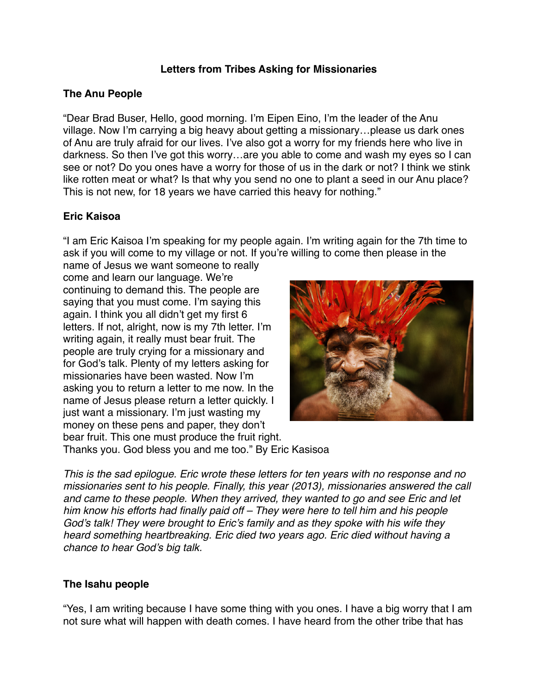### **Letters from Tribes Asking for Missionaries**

#### **The Anu People**

"Dear Brad Buser, Hello, good morning. I'm Eipen Eino, I'm the leader of the Anu village. Now I'm carrying a big heavy about getting a missionary…please us dark ones of Anu are truly afraid for our lives. I've also got a worry for my friends here who live in darkness. So then I've got this worry…are you able to come and wash my eyes so I can see or not? Do you ones have a worry for those of us in the dark or not? I think we stink like rotten meat or what? Is that why you send no one to plant a seed in our Anu place? This is not new, for 18 years we have carried this heavy for nothing."

### **Eric Kaisoa**

"I am Eric Kaisoa I'm speaking for my people again. I'm writing again for the 7th time to ask if you will come to my village or not. If you're willing to come then please in the

name of Jesus we want someone to really come and learn our language. We're continuing to demand this. The people are saying that you must come. I'm saying this again. I think you all didn't get my first 6 letters. If not, alright, now is my 7th letter. I'm writing again, it really must bear fruit. The people are truly crying for a missionary and for God's talk. Plenty of my letters asking for missionaries have been wasted. Now I'm asking you to return a letter to me now. In the name of Jesus please return a letter quickly. I just want a missionary. I'm just wasting my money on these pens and paper, they don't bear fruit. This one must produce the fruit right.



Thanks you. God bless you and me too." By Eric Kasisoa

*This is the sad epilogue. Eric wrote these letters for ten years with no response and no missionaries sent to his people. Finally, this year (2013), missionaries answered the call and came to these people. When they arrived, they wanted to go and see Eric and let him know his efforts had finally paid off – They were here to tell him and his people God's talk! They were brought to Eric's family and as they spoke with his wife they heard something heartbreaking. Eric died two years ago. Eric died without having a chance to hear God's big talk.* 

#### **The Isahu people**

"Yes, I am writing because I have some thing with you ones. I have a big worry that I am not sure what will happen with death comes. I have heard from the other tribe that has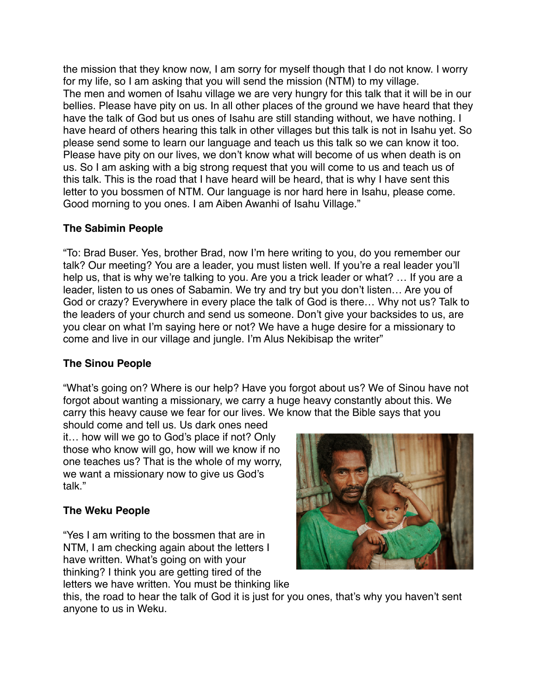the mission that they know now, I am sorry for myself though that I do not know. I worry for my life, so I am asking that you will send the mission (NTM) to my village. The men and women of Isahu village we are very hungry for this talk that it will be in our bellies. Please have pity on us. In all other places of the ground we have heard that they have the talk of God but us ones of Isahu are still standing without, we have nothing. I have heard of others hearing this talk in other villages but this talk is not in Isahu yet. So please send some to learn our language and teach us this talk so we can know it too. Please have pity on our lives, we don't know what will become of us when death is on us. So I am asking with a big strong request that you will come to us and teach us of this talk. This is the road that I have heard will be heard, that is why I have sent this letter to you bossmen of NTM. Our language is nor hard here in Isahu, please come. Good morning to you ones. I am Aiben Awanhi of Isahu Village."

# **The Sabimin People**

"To: Brad Buser. Yes, brother Brad, now I'm here writing to you, do you remember our talk? Our meeting? You are a leader, you must listen well. If you're a real leader you'll help us, that is why we're talking to you. Are you a trick leader or what? … If you are a leader, listen to us ones of Sabamin. We try and try but you don't listen… Are you of God or crazy? Everywhere in every place the talk of God is there… Why not us? Talk to the leaders of your church and send us someone. Don't give your backsides to us, are you clear on what I'm saying here or not? We have a huge desire for a missionary to come and live in our village and jungle. I'm Alus Nekibisap the writer"

# **The Sinou People**

"What's going on? Where is our help? Have you forgot about us? We of Sinou have not forgot about wanting a missionary, we carry a huge heavy constantly about this. We carry this heavy cause we fear for our lives. We know that the Bible says that you

should come and tell us. Us dark ones need it… how will we go to God's place if not? Only those who know will go, how will we know if no one teaches us? That is the whole of my worry, we want a missionary now to give us God's talk."

# **The Weku People**

"Yes I am writing to the bossmen that are in NTM, I am checking again about the letters I have written. What's going on with your thinking? I think you are getting tired of the letters we have written. You must be thinking like



this, the road to hear the talk of God it is just for you ones, that's why you haven't sent anyone to us in Weku.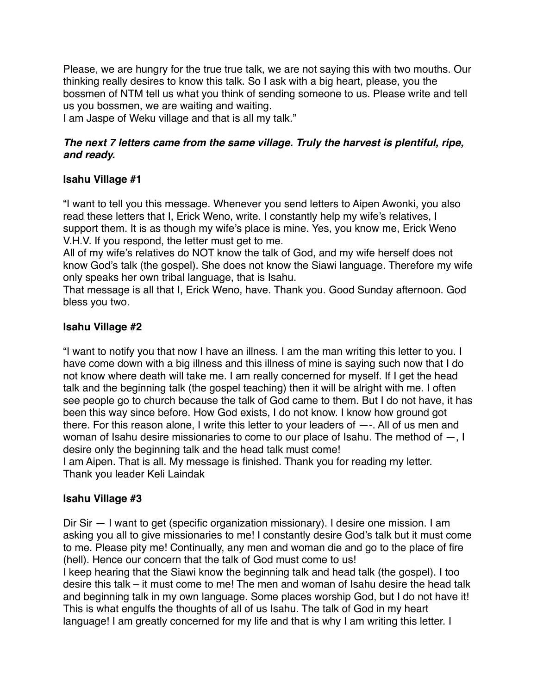Please, we are hungry for the true true talk, we are not saying this with two mouths. Our thinking really desires to know this talk. So I ask with a big heart, please, you the bossmen of NTM tell us what you think of sending someone to us. Please write and tell us you bossmen, we are waiting and waiting.

I am Jaspe of Weku village and that is all my talk."

## *The next 7 letters came from the same village. Truly the harvest is plentiful, ripe, and ready.*

# **Isahu Village #1**

"I want to tell you this message. Whenever you send letters to Aipen Awonki, you also read these letters that I, Erick Weno, write. I constantly help my wife's relatives, I support them. It is as though my wife's place is mine. Yes, you know me, Erick Weno V.H.V. If you respond, the letter must get to me.

All of my wife's relatives do NOT know the talk of God, and my wife herself does not know God's talk (the gospel). She does not know the Siawi language. Therefore my wife only speaks her own tribal language, that is Isahu.

That message is all that I, Erick Weno, have. Thank you. Good Sunday afternoon. God bless you two.

# **Isahu Village #2**

"I want to notify you that now I have an illness. I am the man writing this letter to you. I have come down with a big illness and this illness of mine is saying such now that I do not know where death will take me. I am really concerned for myself. If I get the head talk and the beginning talk (the gospel teaching) then it will be alright with me. I often see people go to church because the talk of God came to them. But I do not have, it has been this way since before. How God exists, I do not know. I know how ground got there. For this reason alone, I write this letter to your leaders of —-. All of us men and woman of Isahu desire missionaries to come to our place of Isahu. The method of —, I desire only the beginning talk and the head talk must come! I am Aipen. That is all. My message is finished. Thank you for reading my letter.

Thank you leader Keli Laindak

## **Isahu Village #3**

Dir Sir — I want to get (specific organization missionary). I desire one mission. I am asking you all to give missionaries to me! I constantly desire God's talk but it must come to me. Please pity me! Continually, any men and woman die and go to the place of fire (hell). Hence our concern that the talk of God must come to us!

I keep hearing that the Siawi know the beginning talk and head talk (the gospel). I too desire this talk – it must come to me! The men and woman of Isahu desire the head talk and beginning talk in my own language. Some places worship God, but I do not have it! This is what engulfs the thoughts of all of us Isahu. The talk of God in my heart language! I am greatly concerned for my life and that is why I am writing this letter. I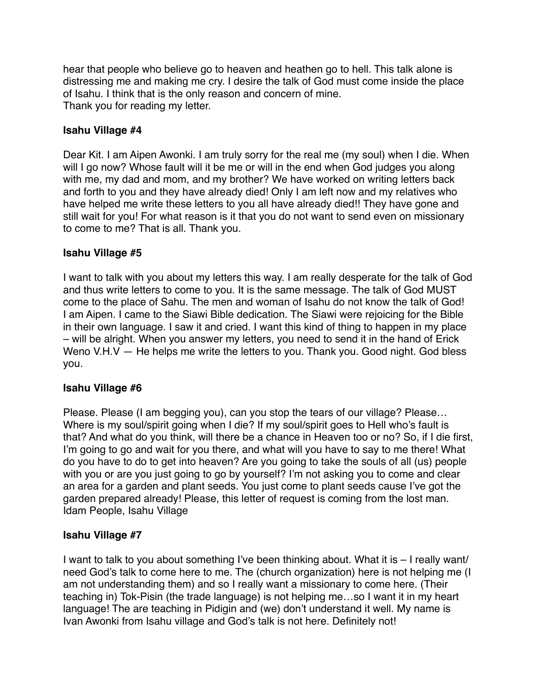hear that people who believe go to heaven and heathen go to hell. This talk alone is distressing me and making me cry. I desire the talk of God must come inside the place of Isahu. I think that is the only reason and concern of mine. Thank you for reading my letter.

### **Isahu Village #4**

Dear Kit. I am Aipen Awonki. I am truly sorry for the real me (my soul) when I die. When will I go now? Whose fault will it be me or will in the end when God judges you along with me, my dad and mom, and my brother? We have worked on writing letters back and forth to you and they have already died! Only I am left now and my relatives who have helped me write these letters to you all have already died!! They have gone and still wait for you! For what reason is it that you do not want to send even on missionary to come to me? That is all. Thank you.

### **Isahu Village #5**

I want to talk with you about my letters this way. I am really desperate for the talk of God and thus write letters to come to you. It is the same message. The talk of God MUST come to the place of Sahu. The men and woman of Isahu do not know the talk of God! I am Aipen. I came to the Siawi Bible dedication. The Siawi were rejoicing for the Bible in their own language. I saw it and cried. I want this kind of thing to happen in my place – will be alright. When you answer my letters, you need to send it in the hand of Erick Weno V.H.V — He helps me write the letters to you. Thank you. Good night. God bless you.

#### **Isahu Village #6**

Please. Please (I am begging you), can you stop the tears of our village? Please… Where is my soul/spirit going when I die? If my soul/spirit goes to Hell who's fault is that? And what do you think, will there be a chance in Heaven too or no? So, if I die first, I'm going to go and wait for you there, and what will you have to say to me there! What do you have to do to get into heaven? Are you going to take the souls of all (us) people with you or are you just going to go by yourself? I'm not asking you to come and clear an area for a garden and plant seeds. You just come to plant seeds cause I've got the garden prepared already! Please, this letter of request is coming from the lost man. Idam People, Isahu Village

#### **Isahu Village #7**

I want to talk to you about something I've been thinking about. What it is – I really want/ need God's talk to come here to me. The (church organization) here is not helping me (I am not understanding them) and so I really want a missionary to come here. (Their teaching in) Tok-Pisin (the trade language) is not helping me…so I want it in my heart language! The are teaching in Pidigin and (we) don't understand it well. My name is Ivan Awonki from Isahu village and God's talk is not here. Definitely not!